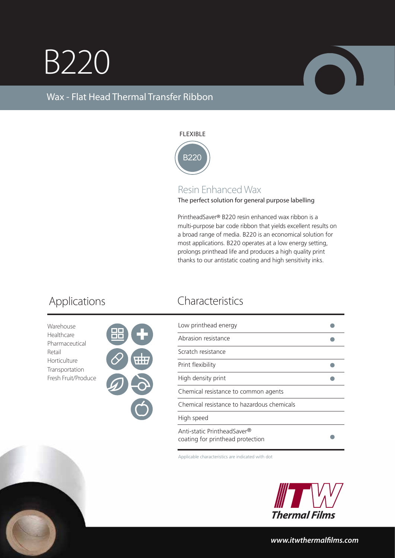## B220



## Wax - Flat Head Thermal Transfer Ribbon

### FLEXIBLE



## Resin Enhanced Wax

The perfect solution for general purpose labelling

PrintheadSaver® B220 resin enhanced wax ribbon is a multi-purpose bar code ribbon that yields excellent results on a broad range of media. B220 is an economical solution for most applications. B220 operates at a low energy setting, prolongs printhead life and produces a high quality print thanks to our antistatic coating and high sensitivity inks.

Warehouse Healthcare Pharmaceutical Retail Horticulture Transportation Fresh Fruit/Produce



## Applications Characteristics

| Low printhead energy                                            |  |
|-----------------------------------------------------------------|--|
| Abrasion resistance                                             |  |
| Scratch resistance                                              |  |
| Print flexibility                                               |  |
| High density print                                              |  |
| Chemical resistance to common agents                            |  |
| Chemical resistance to hazardous chemicals                      |  |
| High speed                                                      |  |
| Anti-static PrintheadSaver®<br>coating for printhead protection |  |

Applicable characteristics are indicated with dot



*www.itwthermallms.com*